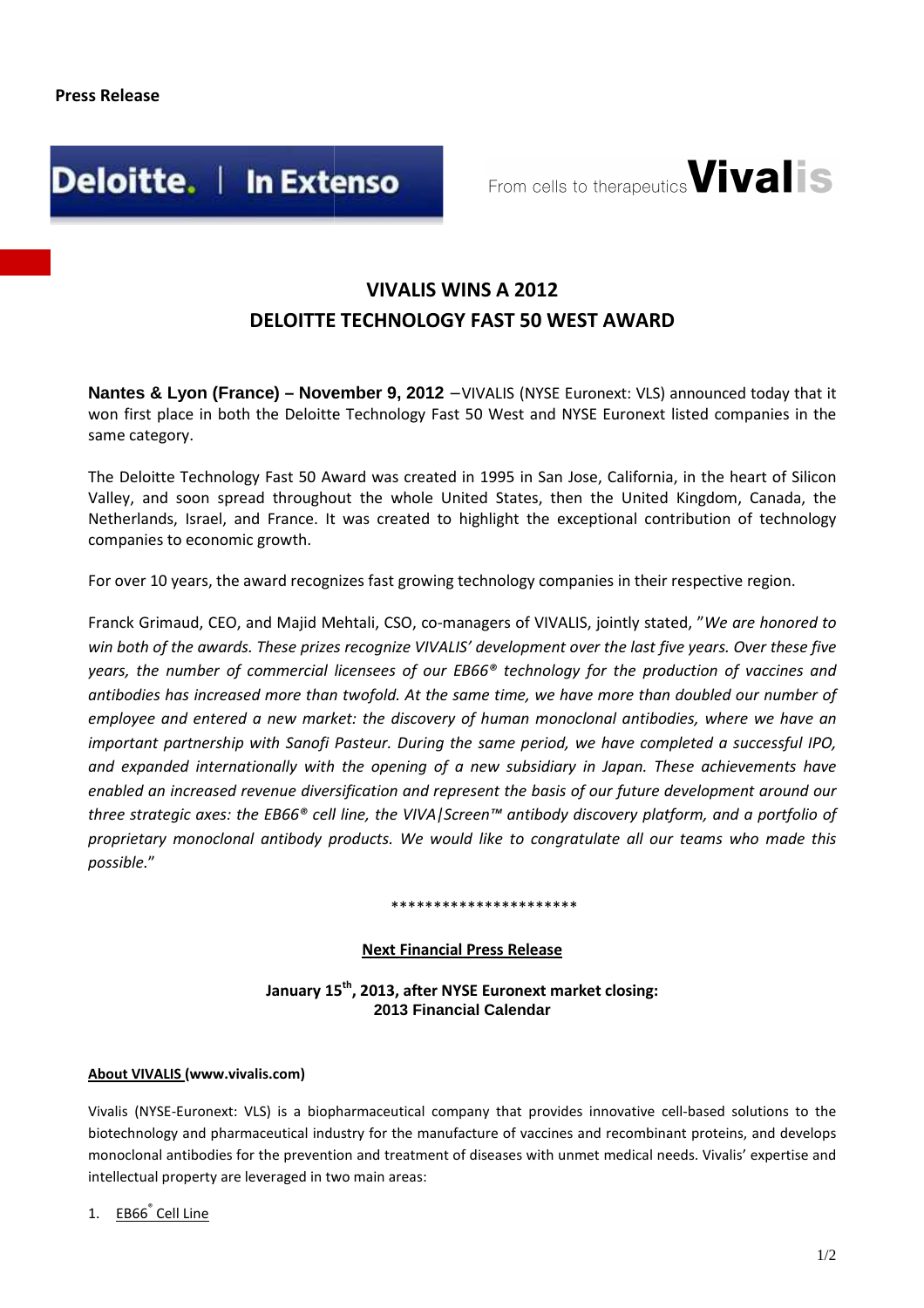

From cells to therapeutics **Vivalis** 

## **DELOITTE TECHNOLOGY FAST 50 WEST AWARD VIVALIS WINS A 2012**

**Nantes & Lyon (France) – November 9, 2012** – VIVALIS (NYSE Euronext: VLS) announced today that it won first place in both the Deloitte Technology Fast 50 West and NYSE Euronext listed companies in the same category.

The Deloitte Technology Fast 50 Award was created in 1995 in San Jose, California, in the heart of Silicon Valley, and soon spread throughout the whole United States, then the United Kingdom, Canada, the Netherlands, Israel, and France. It was created to highlight the exceptional contribution of technology companies to economic growth.

For over 10 years, the award recognizes fast growing technology companies in their respective region.

Franck Grimaud, CEO, and Majid Mehtali, CSO, co-managers of VIVALIS, jointly stated, "We are honored to win both of the awards. These prizes recognize VIVALIS' development over the last five years. Over these five *years, the number of commercial licensees of our EB66® technology for the production of vaccines and*  antibodies has increased more than twofold. At the same time, we have more than doubled our number of employee and entered a new market: the discovery of human monoclonal antibodies, where we have an important partnership with Sanofi Pasteur. During the same period, we have completed a successful IPO, and expanded internationally with the opening of a new subsidiary in Japan. These achievements have *enabled an increased revenue diversification and represent the basis of our future development around our three strategic axes: the EB66® cell line, the VIVA|Screen™ antibody discovery platform, and a portfolio of*  proprietary monoclonal antibody products. We would like to congratulate all our teams who made this *possible.*"

#### \*\*\*\*\*\*\*\*\*\*\*\*\*\*\*\*\*\*\*

### **Next Financial Press Release**

**January 15 th, 2013, after NYSE Euronext market closing: 2013 Financial Calendar** 

#### **About VIVALIS (www.vivalis.com)**

Vivalis (NYSE-Euronext: VLS) is a biopharmaceutical company that provides innovative cell-based solutions to the<br>biotechnology and pharmaceutical industry for the manufacture of vaccines and recombinant proteins, and devel biotechnology and pharmaceutical industry for the manufacture o f monoclonal antibodies for the prevention and treatment of diseases with unmet medical needs. Vivalis' expertise and intellectual property are leveraged in two main areas:

1. EB66<sup>®</sup> Cell Line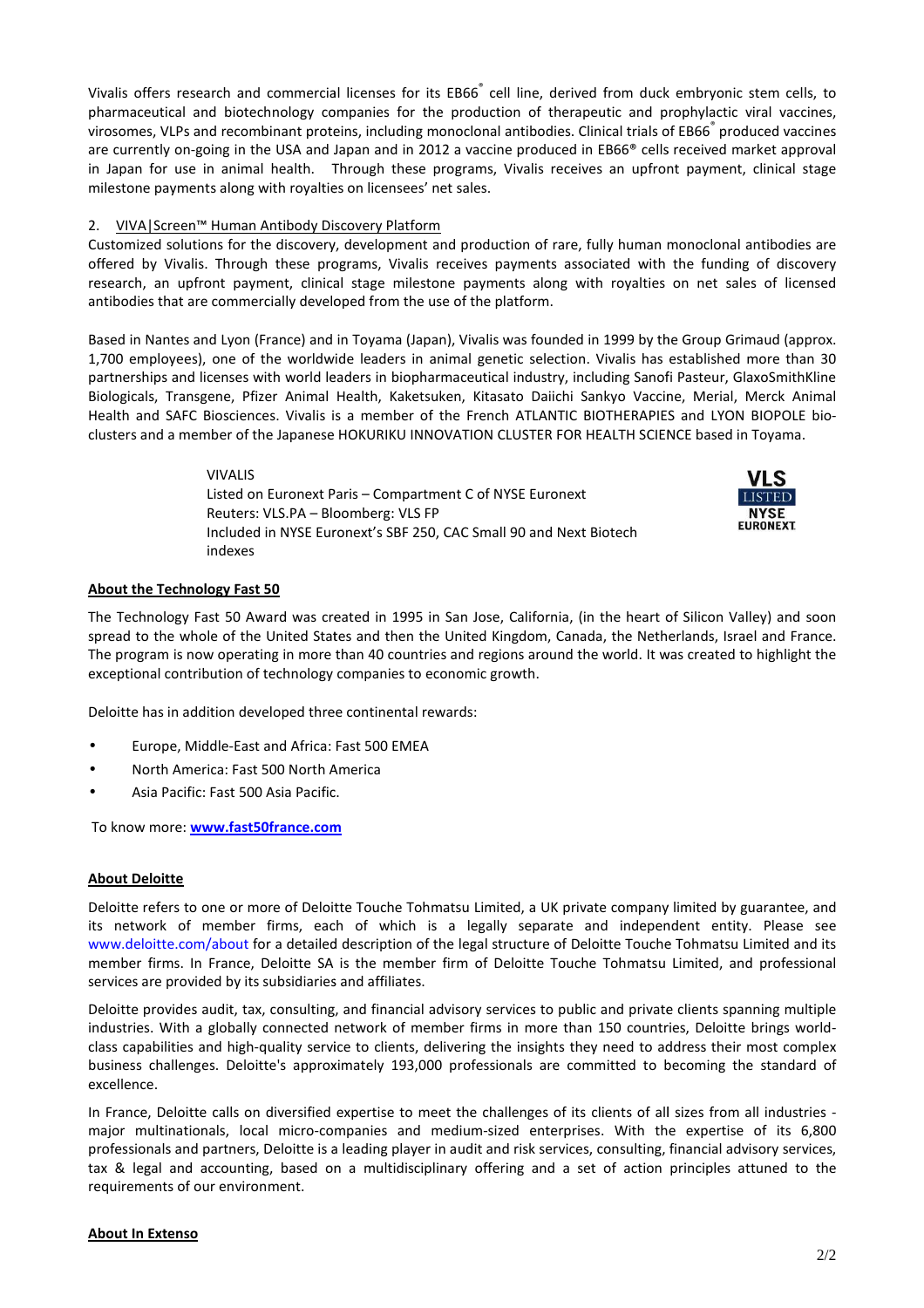Vivalis offers research and commercial licenses for its EB66 cell line, derived from duck embryonic stem cells, to pharmaceutical and biotechnology companies for the production of therapeutic and prophylactic viral vaccines, virosomes, VLPs and recombinant proteins, including monoclonal antibodies. Clinical trials of EB66<sup>®</sup> produced vaccines are currently on-going in the USA and Japan and in 2012 a vaccine produced in EB66® cells received market approval in Japan for use in animal health. Through these programs, Vivalis receives an upfront payment, clinical stage milestone payments along with royalties on licensees' net sales.

#### 2. VIVA|Screen™ Human Antibody Discovery Platform

Customized solutions for the discovery, development and production of rare, fully human monoclonal antibodies are offered by Vivalis. Through these programs, Vivalis receives payments associated with the funding of discovery research, an upfront payment, clinical stage milestone payments along with royalties on net sales of licensed antibodies that are commercially developed from the use of the platform.

Based in Nantes and Lyon (France) and in Toyama (Japan), Vivalis was founded in 1999 by the Group Grimaud (approx. 1,700 employees), one of the worldwide leaders in animal genetic selection. Vivalis ha has established more than 30 partnerships and licenses with world leaders in biopharmaceutical industry, including Sanofi Pasteur, GlaxoSmithKline Biologicals, Transgene, Pfizer Animal Health, Kaketsuken, Kitasato Daiichi Sankyo Vaccine, Merial, Merck Animal 1,700 employees), one of the worldwide leaders in animal genetic selection. Vivalis has established more than 30<br>partnerships and licenses with world leaders in biopharmaceutical industry, including Sanofi Pasteur, GlaxoSm clusters and a member of the Japanese HOKURIKU INNOVATION CLUSTER FOR HEALTH SCIENCE based in Toyama.

> VIVALIS Listed on Euronext Paris – Compartment C of NYSE Euronext Reuters: VLS.PA – Bloomberg: VLS FP Included in NYSE Euronext's SBF 250, CAC Small 90 and Next Biotech indexes



#### **About the Technology Fast 50**

The Technology Fast 50 Award was created in 1995 in San Jose, California, (in the heart of Silicon Valley) and soon spread to the whole of the United States and then the United Kingdom, Canada, the Netherlands, Israel and France. The program is now operating in more than 40 countries and regions around the world. It was created to highlight the exceptional contribution of technology companies to economic growth.

Deloitte has in addition developed three continental rewards:

- Europe, Middle-East and Africa: Fast 500 EMEA
- North America: Fast 500 North America
- Asia Pacific: Fast 500 Asia Pacific.

To know more: **www.fast50france.com**

#### **About Deloitte**

Deloitte refers to one or more of Deloitte Touche Tohmatsu Limited, a UK private company limited by guarantee, and its network of member firms, each of which is a legally separate and independent entity. Please see www.deloitte.com/about for a detailed description of the legal structure of Deloitte Touche Tohmatsu Limited and its member firms. In France, Deloitte SA is the member firm of Deloitte Touche Tohmatsu Limited, and professional services are provided by its subsidiaries and affiliates. program is now operating in more than 40 countries and regions around the world. It was created to highlight the<br>epitional contribution of technology companies to economic growth.<br>
It the mass in addition developed three c

Deloitte provides audit, tax, consulting, and financial advisory services to public and private clients spanning multiple industries. With a globally connected network of member firms in more than 150 countries, Deloitte brings worldclass capabilities and high-quality service to clients, delivering the insights they need to address their most complex business challenges. Deloitte's approximately 193,000 professionals are committed to becoming the standard of excellence.

In France, Deloitte calls on diversified expertise to meet the challenges of its clients of all sizes from all industries major multinationals, local micro-companies and medium sized professionals and partners, Deloitte is a leading player in audit and risk services, consulting, financial advisory services, tax & legal and accounting, based on a multidisciplinary offering and a set of action principles attuned to the requirements of our environment.

#### **About In Extenso**